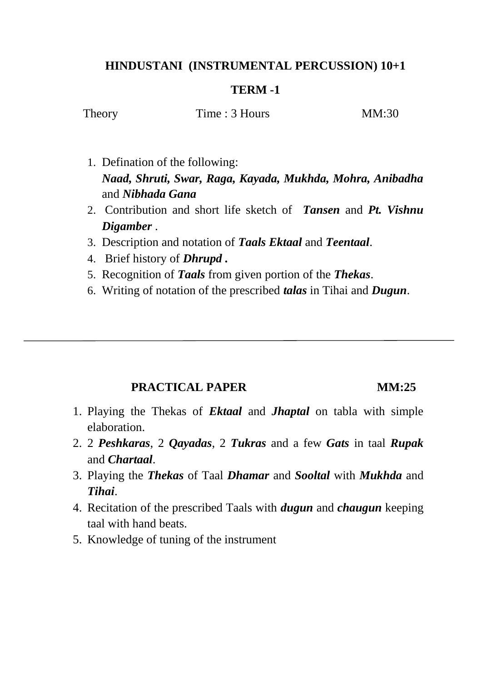## **HINDUSTANI (INSTRUMENTAL PERCUSSION) 10+1**

### **TERM -1**

Theory Time : 3 Hours MM:30

- 1. Defination of the following: *Naad, Shruti, Swar, Raga, Kayada, Mukhda, Mohra, Anibadha* and *Nibhada Gana*
- 2. Contribution and short life sketch of *Tansen* and *Pt. Vishnu Digamber* .
- 3. Description and notation of *Taals Ektaal* and *Teentaal*.
- 4. Brief history of *Dhrupd .*
- 5. Recognition of *Taals* from given portion of the *Thekas*.
- 6. Writing of notation of the prescribed *talas* in Tihai and *Dugun*.

# **PRACTICAL PAPER MM:25**

- 1. Playing the Thekas of *Ektaal* and *Jhaptal* on tabla with simple elaboration.
- 2. 2 *Peshkaras*, 2 *Qayadas*, 2 *Tukras* and a few *Gats* in taal *Rupak* and *Chartaal*.
- 3. Playing the *Thekas* of Taal *Dhamar* and *Sooltal* with *Mukhda* and *Tihai*.
- 4. Recitation of the prescribed Taals with *dugun* and *chaugun* keeping taal with hand beats.
- 5. Knowledge of tuning of the instrument